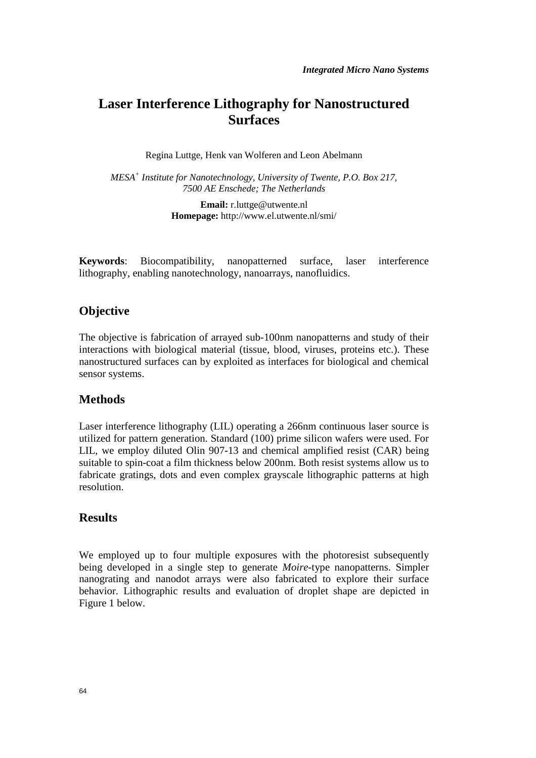# **Laser Interference Lithography for Nanostructured Surfaces**

Regina Luttge, Henk van Wolferen and Leon Abelmann

*MESA<sup>+</sup> Institute for Nanotechnology, University of Twente, P.O. Box 217, 7500 AE Enschede; The Netherlands* 

> **Email:** r.luttge@utwente.nl **Homepage:** http://www.el.utwente.nl/smi/

**Keywords**: Biocompatibility, nanopatterned surface, laser interference lithography, enabling nanotechnology, nanoarrays, nanofluidics.

## **Objective**

The objective is fabrication of arrayed sub-100nm nanopatterns and study of their interactions with biological material (tissue, blood, viruses, proteins etc.). These nanostructured surfaces can by exploited as interfaces for biological and chemical sensor systems.

#### **Methods**

Laser interference lithography (LIL) operating a 266nm continuous laser source is utilized for pattern generation. Standard (100) prime silicon wafers were used. For LIL, we employ diluted Olin 907-13 and chemical amplified resist (CAR) being suitable to spin-coat a film thickness below 200nm. Both resist systems allow us to fabricate gratings, dots and even complex grayscale lithographic patterns at high resolution.

#### **Results**

We employed up to four multiple exposures with the photoresist subsequently being developed in a single step to generate *Moire*-type nanopatterns. Simpler nanograting and nanodot arrays were also fabricated to explore their surface behavior. Lithographic results and evaluation of droplet shape are depicted in Figure 1 below.